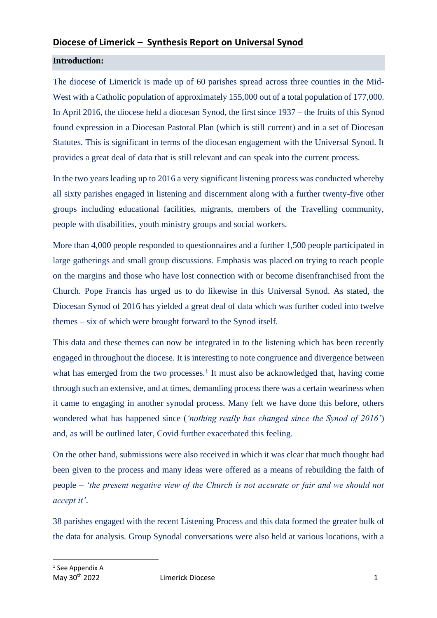# **Diocese of Limerick – Synthesis Report on Universal Synod**

## **Introduction:**

The diocese of Limerick is made up of 60 parishes spread across three counties in the Mid-West with a Catholic population of approximately 155,000 out of a total population of 177,000. In April 2016, the diocese held a diocesan Synod, the first since 1937 – the fruits of this Synod found expression in a Diocesan Pastoral Plan (which is still current) and in a set of Diocesan Statutes. This is significant in terms of the diocesan engagement with the Universal Synod. It provides a great deal of data that is still relevant and can speak into the current process.

In the two years leading up to 2016 a very significant listening process was conducted whereby all sixty parishes engaged in listening and discernment along with a further twenty-five other groups including educational facilities, migrants, members of the Travelling community, people with disabilities, youth ministry groups and social workers.

More than 4,000 people responded to questionnaires and a further 1,500 people participated in large gatherings and small group discussions. Emphasis was placed on trying to reach people on the margins and those who have lost connection with or become disenfranchised from the Church. Pope Francis has urged us to do likewise in this Universal Synod. As stated, the Diocesan Synod of 2016 has yielded a great deal of data which was further coded into twelve themes – six of which were brought forward to the Synod itself.

This data and these themes can now be integrated in to the listening which has been recently engaged in throughout the diocese. It is interesting to note congruence and divergence between what has emerged from the two processes.<sup>1</sup> It must also be acknowledged that, having come through such an extensive, and at times, demanding process there was a certain weariness when it came to engaging in another synodal process. Many felt we have done this before, others wondered what has happened since (*'nothing really has changed since the Synod of 2016'*) and, as will be outlined later, Covid further exacerbated this feeling.

On the other hand, submissions were also received in which it was clear that much thought had been given to the process and many ideas were offered as a means of rebuilding the faith of people – *'the present negative view of the Church is not accurate or fair and we should not accept it'*.

38 parishes engaged with the recent Listening Process and this data formed the greater bulk of the data for analysis. Group Synodal conversations were also held at various locations, with a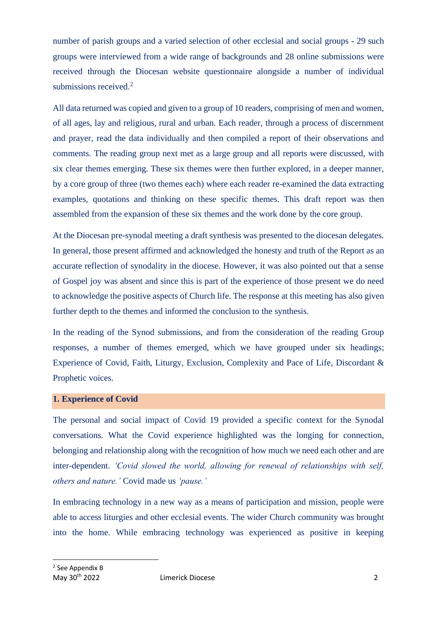number of parish groups and a varied selection of other ecclesial and social groups - 29 such groups were interviewed from a wide range of backgrounds and 28 online submissions were received through the Diocesan website questionnaire alongside a number of individual submissions received.<sup>2</sup>

All data returned was copied and given to a group of 10 readers, comprising of men and women, of all ages, lay and religious, rural and urban. Each reader, through a process of discernment and prayer, read the data individually and then compiled a report of their observations and comments. The reading group next met as a large group and all reports were discussed, with six clear themes emerging. These six themes were then further explored, in a deeper manner, by a core group of three (two themes each) where each reader re-examined the data extracting examples, quotations and thinking on these specific themes. This draft report was then assembled from the expansion of these six themes and the work done by the core group.

At the Diocesan pre-synodal meeting a draft synthesis was presented to the diocesan delegates. In general, those present affirmed and acknowledged the honesty and truth of the Report as an accurate reflection of synodality in the diocese. However, it was also pointed out that a sense of Gospel joy was absent and since this is part of the experience of those present we do need to acknowledge the positive aspects of Church life. The response at this meeting has also given further depth to the themes and informed the conclusion to the synthesis.

In the reading of the Synod submissions, and from the consideration of the reading Group responses, a number of themes emerged, which we have grouped under six headings; Experience of Covid, Faith, Liturgy, Exclusion, Complexity and Pace of Life, Discordant & Prophetic voices.

## **1. Experience of Covid**

The personal and social impact of Covid 19 provided a specific context for the Synodal conversations. What the Covid experience highlighted was the longing for connection, belonging and relationship along with the recognition of how much we need each other and are inter-dependent. *'Covid slowed the world, allowing for renewal of relationships with self, others and nature.'* Covid made us *'pause.'*

In embracing technology in a new way as a means of participation and mission, people were able to access liturgies and other ecclesial events. The wider Church community was brought into the home. While embracing technology was experienced as positive in keeping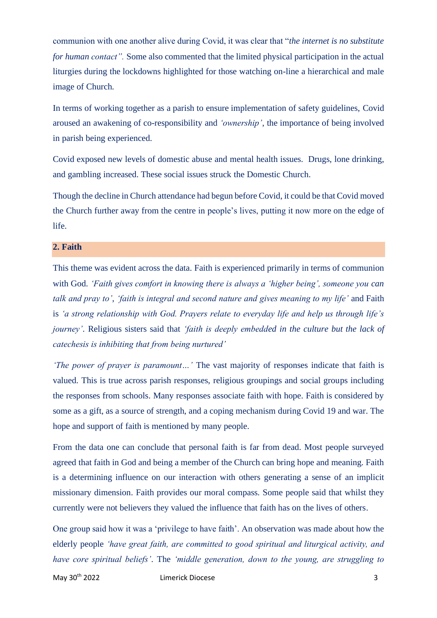communion with one another alive during Covid, it was clear that "*the internet is no substitute for human contact".* Some also commented that the limited physical participation in the actual liturgies during the lockdowns highlighted for those watching on-line a hierarchical and male image of Church.

In terms of working together as a parish to ensure implementation of safety guidelines, Covid aroused an awakening of co-responsibility and *'ownership'*, the importance of being involved in parish being experienced.

Covid exposed new levels of domestic abuse and mental health issues. Drugs, lone drinking, and gambling increased. These social issues struck the Domestic Church.

Though the decline in Church attendance had begun before Covid, it could be that Covid moved the Church further away from the centre in people's lives, putting it now more on the edge of life.

## **2. Faith**

This theme was evident across the data. Faith is experienced primarily in terms of communion with God. *'Faith gives comfort in knowing there is always a 'higher being', someone you can talk and pray to'*, *'faith is integral and second nature and gives meaning to my life'* and Faith is *'a strong relationship with God. Prayers relate to everyday life and help us through life's journey'*. Religious sisters said that *'faith is deeply embedded in the culture but the lack of catechesis is inhibiting that from being nurtured'*

*'The power of prayer is paramount…'* The vast majority of responses indicate that faith is valued. This is true across parish responses, religious groupings and social groups including the responses from schools. Many responses associate faith with hope. Faith is considered by some as a gift, as a source of strength, and a coping mechanism during Covid 19 and war. The hope and support of faith is mentioned by many people.

From the data one can conclude that personal faith is far from dead. Most people surveyed agreed that faith in God and being a member of the Church can bring hope and meaning. Faith is a determining influence on our interaction with others generating a sense of an implicit missionary dimension. Faith provides our moral compass. Some people said that whilst they currently were not believers they valued the influence that faith has on the lives of others.

One group said how it was a 'privilege to have faith'. An observation was made about how the elderly people *'have great faith, are committed to good spiritual and liturgical activity, and have core spiritual beliefs'*. The *'middle generation, down to the young, are struggling to* 

May 30th 2022 Limerick Diocese 3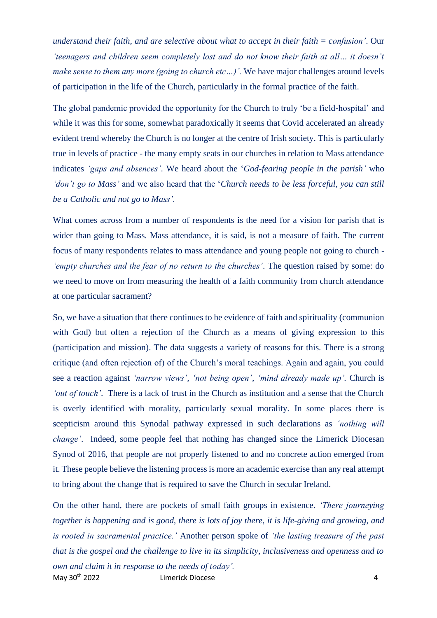*understand their faith, and are selective about what to accept in their faith = confusion'*. Our *'teenagers and children seem completely lost and do not know their faith at all… it doesn't make sense to them any more (going to church etc...)'.* We have major challenges around levels of participation in the life of the Church, particularly in the formal practice of the faith.

The global pandemic provided the opportunity for the Church to truly 'be a field-hospital' and while it was this for some, somewhat paradoxically it seems that Covid accelerated an already evident trend whereby the Church is no longer at the centre of Irish society. This is particularly true in levels of practice - the many empty seats in our churches in relation to Mass attendance indicates *'gaps and absences'*. We heard about the '*God-fearing people in the parish'* who *'don't go to Mass'* and we also heard that the '*Church needs to be less forceful, you can still be a Catholic and not go to Mass'.*

What comes across from a number of respondents is the need for a vision for parish that is wider than going to Mass. Mass attendance, it is said, is not a measure of faith. The current focus of many respondents relates to mass attendance and young people not going to church - *'empty churches and the fear of no return to the churches'*. The question raised by some: do we need to move on from measuring the health of a faith community from church attendance at one particular sacrament?

So, we have a situation that there continues to be evidence of faith and spirituality (communion with God) but often a rejection of the Church as a means of giving expression to this (participation and mission). The data suggests a variety of reasons for this. There is a strong critique (and often rejection of) of the Church's moral teachings. Again and again, you could see a reaction against *'narrow views', 'not being open', 'mind already made up'.* Church is *'out of touch'*. There is a lack of trust in the Church as institution and a sense that the Church is overly identified with morality, particularly sexual morality. In some places there is scepticism around this Synodal pathway expressed in such declarations as *'nothing will change'*. Indeed, some people feel that nothing has changed since the Limerick Diocesan Synod of 2016, that people are not properly listened to and no concrete action emerged from it. These people believe the listening process is more an academic exercise than any real attempt to bring about the change that is required to save the Church in secular Ireland.

May 30<sup>th</sup> 2022 Limerick Diocese **1986** Limerick Diocese On the other hand, there are pockets of small faith groups in existence. *'There journeying together is happening and is good, there is lots of joy there, it is life-giving and growing, and is rooted in sacramental practice.'* Another person spoke of *'the lasting treasure of the past that is the gospel and the challenge to live in its simplicity, inclusiveness and openness and to own and claim it in response to the needs of today'.*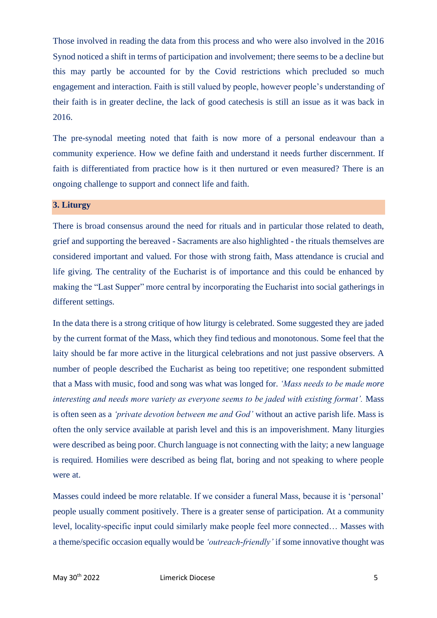Those involved in reading the data from this process and who were also involved in the 2016 Synod noticed a shift in terms of participation and involvement; there seems to be a decline but this may partly be accounted for by the Covid restrictions which precluded so much engagement and interaction. Faith is still valued by people, however people's understanding of their faith is in greater decline, the lack of good catechesis is still an issue as it was back in 2016.

The pre-synodal meeting noted that faith is now more of a personal endeavour than a community experience. How we define faith and understand it needs further discernment. If faith is differentiated from practice how is it then nurtured or even measured? There is an ongoing challenge to support and connect life and faith.

## **3. Liturgy**

There is broad consensus around the need for rituals and in particular those related to death, grief and supporting the bereaved - Sacraments are also highlighted - the rituals themselves are considered important and valued. For those with strong faith, Mass attendance is crucial and life giving. The centrality of the Eucharist is of importance and this could be enhanced by making the "Last Supper" more central by incorporating the Eucharist into social gatherings in different settings.

In the data there is a strong critique of how liturgy is celebrated. Some suggested they are jaded by the current format of the Mass, which they find tedious and monotonous. Some feel that the laity should be far more active in the liturgical celebrations and not just passive observers. A number of people described the Eucharist as being too repetitive; one respondent submitted that a Mass with music, food and song was what was longed for. *'Mass needs to be made more interesting and needs more variety as everyone seems to be jaded with existing format'.* Mass is often seen as a *'private devotion between me and God'* without an active parish life. Mass is often the only service available at parish level and this is an impoverishment. Many liturgies were described as being poor. Church language is not connecting with the laity; a new language is required. Homilies were described as being flat, boring and not speaking to where people were at.

Masses could indeed be more relatable. If we consider a funeral Mass, because it is 'personal' people usually comment positively. There is a greater sense of participation. At a community level, locality-specific input could similarly make people feel more connected… Masses with a theme/specific occasion equally would be *'outreach-friendly'* if some innovative thought was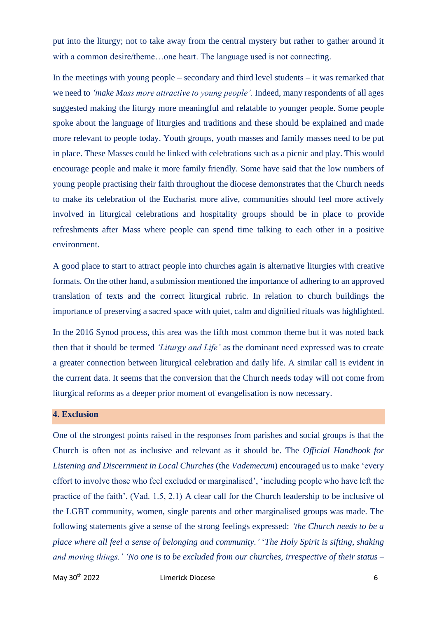put into the liturgy; not to take away from the central mystery but rather to gather around it with a common desire/theme…one heart. The language used is not connecting.

In the meetings with young people – secondary and third level students – it was remarked that we need to *'make Mass more attractive to young people'.* Indeed, many respondents of all ages suggested making the liturgy more meaningful and relatable to younger people. Some people spoke about the language of liturgies and traditions and these should be explained and made more relevant to people today. Youth groups, youth masses and family masses need to be put in place. These Masses could be linked with celebrations such as a picnic and play. This would encourage people and make it more family friendly. Some have said that the low numbers of young people practising their faith throughout the diocese demonstrates that the Church needs to make its celebration of the Eucharist more alive, communities should feel more actively involved in liturgical celebrations and hospitality groups should be in place to provide refreshments after Mass where people can spend time talking to each other in a positive environment.

A good place to start to attract people into churches again is alternative liturgies with creative formats. On the other hand, a submission mentioned the importance of adhering to an approved translation of texts and the correct liturgical rubric. In relation to church buildings the importance of preserving a sacred space with quiet, calm and dignified rituals was highlighted.

In the 2016 Synod process, this area was the fifth most common theme but it was noted back then that it should be termed *'Liturgy and Life'* as the dominant need expressed was to create a greater connection between liturgical celebration and daily life. A similar call is evident in the current data. It seems that the conversion that the Church needs today will not come from liturgical reforms as a deeper prior moment of evangelisation is now necessary.

## **4. Exclusion**

One of the strongest points raised in the responses from parishes and social groups is that the Church is often not as inclusive and relevant as it should be. The *Official Handbook for Listening and Discernment in Local Churches* (the *Vademecum*) encouraged us to make 'every effort to involve those who feel excluded or marginalised', 'including people who have left the practice of the faith'. (Vad. 1.5, 2.1) A clear call for the Church leadership to be inclusive of the LGBT community, women, single parents and other marginalised groups was made. The following statements give a sense of the strong feelings expressed: *'the Church needs to be a place where all feel a sense of belonging and community.'* '*The Holy Spirit is sifting, shaking and moving things.' 'No one is to be excluded from our churches, irrespective of their status –*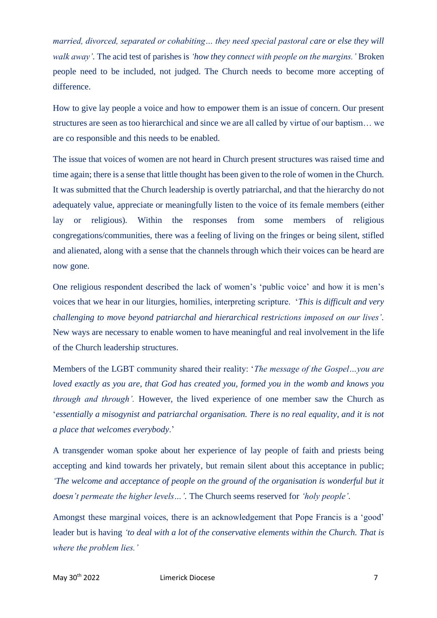*married, divorced, separated or cohabiting… they need special pastoral care or else they will walk away'.* The acid test of parishes is *'how they connect with people on the margins.'* Broken people need to be included, not judged. The Church needs to become more accepting of difference.

How to give lay people a voice and how to empower them is an issue of concern. Our present structures are seen as too hierarchical and since we are all called by virtue of our baptism… we are co responsible and this needs to be enabled.

The issue that voices of women are not heard in Church present structures was raised time and time again; there is a sense that little thought has been given to the role of women in the Church. It was submitted that the Church leadership is overtly patriarchal, and that the hierarchy do not adequately value, appreciate or meaningfully listen to the voice of its female members (either lay or religious). Within the responses from some members of religious congregations/communities, there was a feeling of living on the fringes or being silent, stifled and alienated, along with a sense that the channels through which their voices can be heard are now gone.

One religious respondent described the lack of women's 'public voice' and how it is men's voices that we hear in our liturgies, homilies, interpreting scripture. '*This is difficult and very challenging to move beyond patriarchal and hierarchical restrictions imposed on our lives'.* New ways are necessary to enable women to have meaningful and real involvement in the life of the Church leadership structures.

Members of the LGBT community shared their reality: '*The message of the Gospel…you are loved exactly as you are, that God has created you, formed you in the womb and knows you through and through'.* However, the lived experience of one member saw the Church as '*essentially a misogynist and patriarchal organisation. There is no real equality, and it is not a place that welcomes everybody*.'

A transgender woman spoke about her experience of lay people of faith and priests being accepting and kind towards her privately, but remain silent about this acceptance in public; *The welcome and acceptance of people on the ground of the organisation is wonderful but it doesn't permeate the higher levels…'.* The Church seems reserved for *'holy people'*.

Amongst these marginal voices, there is an acknowledgement that Pope Francis is a 'good' leader but is having *'to deal with a lot of the conservative elements within the Church. That is where the problem lies.'*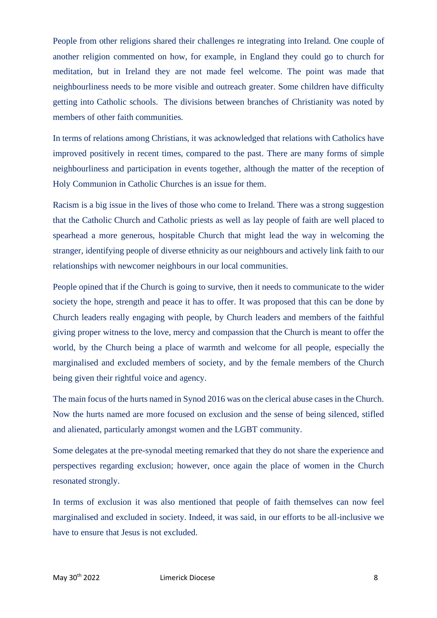People from other religions shared their challenges re integrating into Ireland. One couple of another religion commented on how, for example, in England they could go to church for meditation, but in Ireland they are not made feel welcome. The point was made that neighbourliness needs to be more visible and outreach greater. Some children have difficulty getting into Catholic schools. The divisions between branches of Christianity was noted by members of other faith communities.

In terms of relations among Christians, it was acknowledged that relations with Catholics have improved positively in recent times, compared to the past. There are many forms of simple neighbourliness and participation in events together, although the matter of the reception of Holy Communion in Catholic Churches is an issue for them.

Racism is a big issue in the lives of those who come to Ireland. There was a strong suggestion that the Catholic Church and Catholic priests as well as lay people of faith are well placed to spearhead a more generous, hospitable Church that might lead the way in welcoming the stranger, identifying people of diverse ethnicity as our neighbours and actively link faith to our relationships with newcomer neighbours in our local communities.

People opined that if the Church is going to survive, then it needs to communicate to the wider society the hope, strength and peace it has to offer. It was proposed that this can be done by Church leaders really engaging with people, by Church leaders and members of the faithful giving proper witness to the love, mercy and compassion that the Church is meant to offer the world, by the Church being a place of warmth and welcome for all people, especially the marginalised and excluded members of society, and by the female members of the Church being given their rightful voice and agency.

The main focus of the hurts named in Synod 2016 was on the clerical abuse cases in the Church. Now the hurts named are more focused on exclusion and the sense of being silenced, stifled and alienated, particularly amongst women and the LGBT community.

Some delegates at the pre-synodal meeting remarked that they do not share the experience and perspectives regarding exclusion; however, once again the place of women in the Church resonated strongly.

In terms of exclusion it was also mentioned that people of faith themselves can now feel marginalised and excluded in society. Indeed, it was said, in our efforts to be all-inclusive we have to ensure that Jesus is not excluded.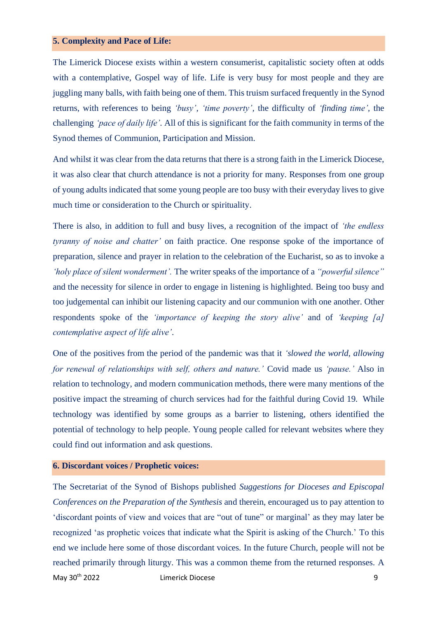#### **5. Complexity and Pace of Life:**

The Limerick Diocese exists within a western consumerist, capitalistic society often at odds with a contemplative, Gospel way of life. Life is very busy for most people and they are juggling many balls, with faith being one of them. This truism surfaced frequently in the Synod returns, with references to being *'busy', 'time poverty',* the difficulty of *'finding time',* the challenging *'pace of daily life'.* All of this is significant for the faith community in terms of the Synod themes of Communion, Participation and Mission.

And whilst it was clear from the data returns that there is a strong faith in the Limerick Diocese, it was also clear that church attendance is not a priority for many. Responses from one group of young adults indicated that some young people are too busy with their everyday lives to give much time or consideration to the Church or spirituality.

There is also, in addition to full and busy lives, a recognition of the impact of *'the endless tyranny of noise and chatter'* on faith practice. One response spoke of the importance of preparation, silence and prayer in relation to the celebration of the Eucharist, so as to invoke a *'holy place of silent wonderment'.* The writer speaks of the importance of a *"powerful silence"* and the necessity for silence in order to engage in listening is highlighted. Being too busy and too judgemental can inhibit our listening capacity and our communion with one another. Other respondents spoke of the *'importance of keeping the story alive'* and of *'keeping [a] contemplative aspect of life alive'*.

One of the positives from the period of the pandemic was that it *'slowed the world, allowing for renewal of relationships with self, others and nature.'* Covid made us *'pause.'* Also in relation to technology, and modern communication methods, there were many mentions of the positive impact the streaming of church services had for the faithful during Covid 19. While technology was identified by some groups as a barrier to listening, others identified the potential of technology to help people. Young people called for relevant websites where they could find out information and ask questions.

#### **6. Discordant voices / Prophetic voices:**

May 30<sup>th</sup> 2022 Limerick Diocese **19th 2022** Limerick Diocese The Secretariat of the Synod of Bishops published *Suggestions for Dioceses and Episcopal Conferences on the Preparation of the Synthesis* and therein, encouraged us to pay attention to 'discordant points of view and voices that are "out of tune" or marginal' as they may later be recognized 'as prophetic voices that indicate what the Spirit is asking of the Church.' To this end we include here some of those discordant voices. In the future Church, people will not be reached primarily through liturgy. This was a common theme from the returned responses. A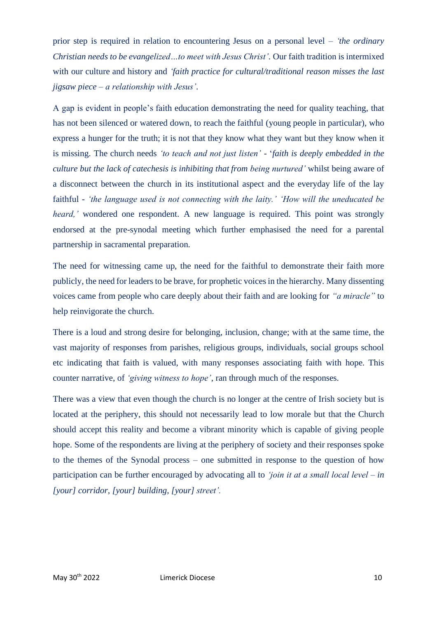prior step is required in relation to encountering Jesus on a personal level – *'the ordinary Christian needs to be evangelized…to meet with Jesus Christ'.* Our faith tradition is intermixed with our culture and history and *'faith practice for cultural/traditional reason misses the last jigsaw piece – a relationship with Jesus'.*

A gap is evident in people's faith education demonstrating the need for quality teaching, that has not been silenced or watered down, to reach the faithful (young people in particular), who express a hunger for the truth; it is not that they know what they want but they know when it is missing. The church needs *'to teach and not just listen'* - '*faith is deeply embedded in the culture but the lack of catechesis is inhibiting that from being nurtured'* whilst being aware of a disconnect between the church in its institutional aspect and the everyday life of the lay faithful - *'the language used is not connecting with the laity.' 'How will the uneducated be heard,'* wondered one respondent. A new language is required. This point was strongly endorsed at the pre-synodal meeting which further emphasised the need for a parental partnership in sacramental preparation.

The need for witnessing came up, the need for the faithful to demonstrate their faith more publicly, the need for leaders to be brave, for prophetic voices in the hierarchy. Many dissenting voices came from people who care deeply about their faith and are looking for *"a miracle"* to help reinvigorate the church.

There is a loud and strong desire for belonging, inclusion, change; with at the same time, the vast majority of responses from parishes, religious groups, individuals, social groups school etc indicating that faith is valued, with many responses associating faith with hope. This counter narrative, of *'giving witness to hope'*, ran through much of the responses.

There was a view that even though the church is no longer at the centre of Irish society but is located at the periphery, this should not necessarily lead to low morale but that the Church should accept this reality and become a vibrant minority which is capable of giving people hope. Some of the respondents are living at the periphery of society and their responses spoke to the themes of the Synodal process – one submitted in response to the question of how participation can be further encouraged by advocating all to *'join it at a small local level – in [your] corridor, [your] building, [your] street'.*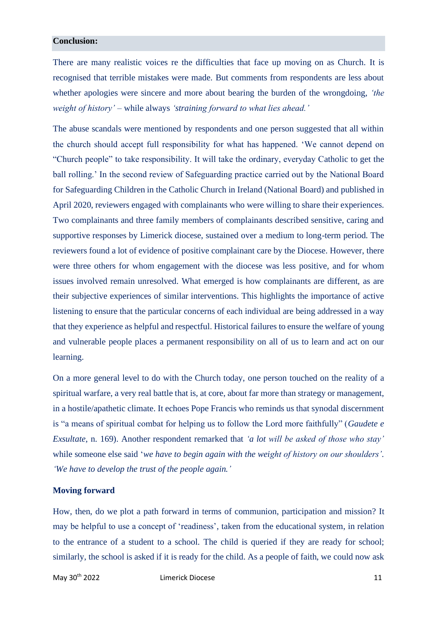#### **Conclusion:**

There are many realistic voices re the difficulties that face up moving on as Church. It is recognised that terrible mistakes were made. But comments from respondents are less about whether apologies were sincere and more about bearing the burden of the wrongdoing, *'the weight of history'* – while always *'straining forward to what lies ahead.'*

The abuse scandals were mentioned by respondents and one person suggested that all within the church should accept full responsibility for what has happened. 'We cannot depend on "Church people" to take responsibility. It will take the ordinary, everyday Catholic to get the ball rolling.' In the second review of Safeguarding practice carried out by the National Board for Safeguarding Children in the Catholic Church in Ireland (National Board) and published in April 2020, reviewers engaged with complainants who were willing to share their experiences. Two complainants and three family members of complainants described sensitive, caring and supportive responses by Limerick diocese, sustained over a medium to long-term period. The reviewers found a lot of evidence of positive complainant care by the Diocese. However, there were three others for whom engagement with the diocese was less positive, and for whom issues involved remain unresolved. What emerged is how complainants are different, as are their subjective experiences of similar interventions. This highlights the importance of active listening to ensure that the particular concerns of each individual are being addressed in a way that they experience as helpful and respectful. Historical failures to ensure the welfare of young and vulnerable people places a permanent responsibility on all of us to learn and act on our learning.

On a more general level to do with the Church today, one person touched on the reality of a spiritual warfare, a very real battle that is, at core, about far more than strategy or management, in a hostile/apathetic climate. It echoes Pope Francis who reminds us that synodal discernment is "a means of spiritual combat for helping us to follow the Lord more faithfully" (*Gaudete e Exsultate*, n. 169). Another respondent remarked that *'a lot will be asked of those who stay'* while someone else said '*we have to begin again with the weight of history on our shoulders'. 'We have to develop the trust of the people again.'*

#### **Moving forward**

How, then, do we plot a path forward in terms of communion, participation and mission? It may be helpful to use a concept of 'readiness', taken from the educational system, in relation to the entrance of a student to a school. The child is queried if they are ready for school; similarly, the school is asked if it is ready for the child. As a people of faith, we could now ask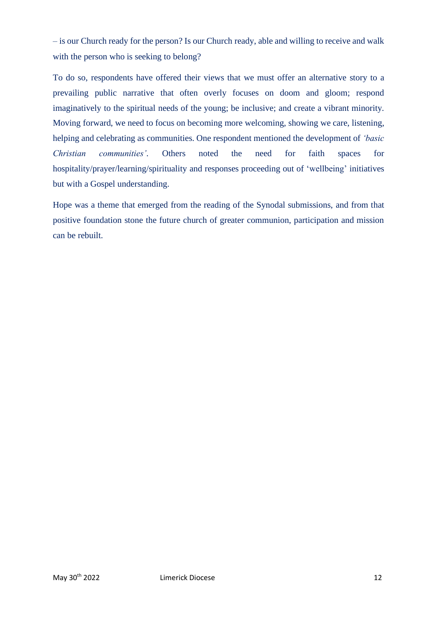– is our Church ready for the person? Is our Church ready, able and willing to receive and walk with the person who is seeking to belong?

To do so, respondents have offered their views that we must offer an alternative story to a prevailing public narrative that often overly focuses on doom and gloom; respond imaginatively to the spiritual needs of the young; be inclusive; and create a vibrant minority. Moving forward, we need to focus on becoming more welcoming, showing we care, listening, helping and celebrating as communities. One respondent mentioned the development of *'basic Christian communities'.* Others noted the need for faith spaces for hospitality/prayer/learning/spirituality and responses proceeding out of 'wellbeing' initiatives but with a Gospel understanding.

Hope was a theme that emerged from the reading of the Synodal submissions, and from that positive foundation stone the future church of greater communion, participation and mission can be rebuilt.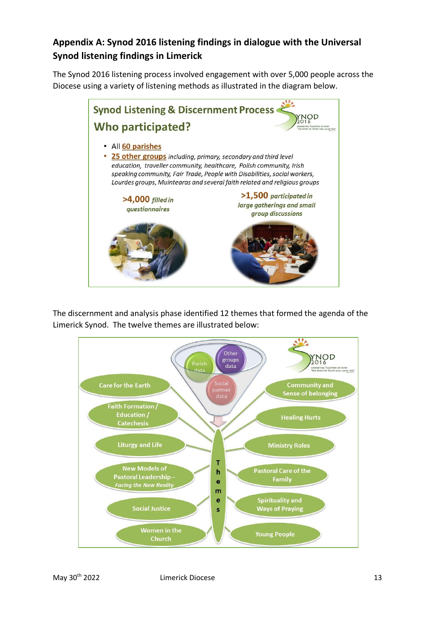# **Appendix A: Synod 2016 listening findings in dialogue with the Universal Synod listening findings in Limerick**

The Synod 2016 listening process involved engagement with over 5,000 people across the Diocese using a variety of listening methods as illustrated in the diagram below.



The discernment and analysis phase identified 12 themes that formed the agenda of the Limerick Synod. The twelve themes are illustrated below:

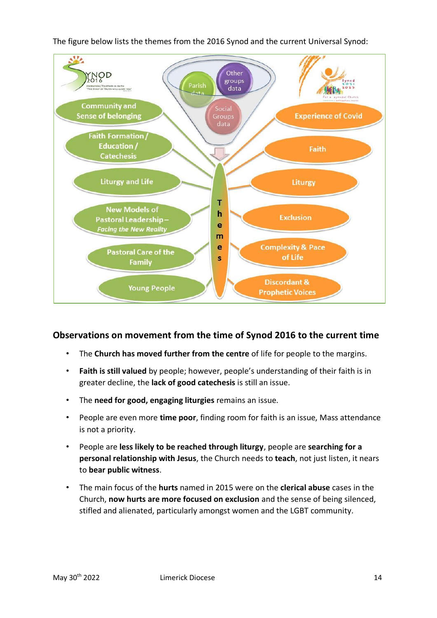The figure below lists the themes from the 2016 Synod and the current Universal Synod:



# **Observations on movement from the time of Synod 2016 to the current time**

- The **Church has moved further from the centre** of life for people to the margins.
- **Faith is still valued** by people; however, people's understanding of their faith is in greater decline, the **lack of good catechesis** is still an issue.
- The **need for good, engaging liturgies** remains an issue.
- People are even more **time poor**, finding room for faith is an issue, Mass attendance is not a priority.
- People are **less likely to be reached through liturgy**, people are **searching for a personal relationship with Jesus**, the Church needs to **teach**, not just listen, it nears to **bear public witness**.
- The main focus of the **hurts** named in 2015 were on the **clerical abuse** cases in the Church, **now hurts are more focused on exclusion** and the sense of being silenced, stifled and alienated, particularly amongst women and the LGBT community.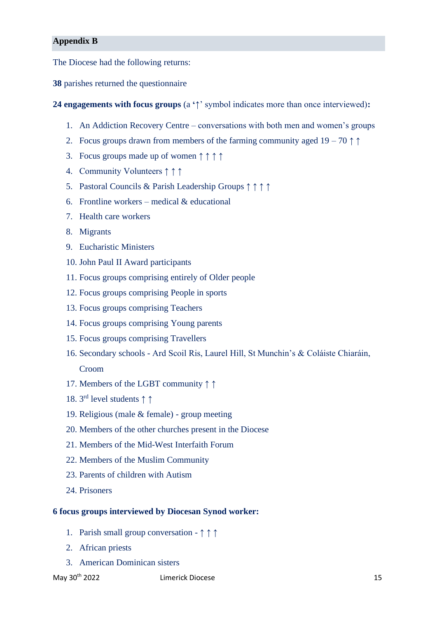## **Appendix B**

The Diocese had the following returns:

**38** parishes returned the questionnaire

**24 engagements with focus groups** (a **'**↑' symbol indicates more than once interviewed)**:**

- 1. An Addiction Recovery Centre conversations with both men and women's groups
- 2. Focus groups drawn from members of the farming community aged  $19 70 \uparrow \uparrow$
- 3. Focus groups made up of women ↑ ↑ ↑ ↑
- 4. Community Volunteers ↑ ↑ ↑
- 5. Pastoral Councils & Parish Leadership Groups ↑ ↑ ↑ ↑
- 6. Frontline workers medical  $&$  educational
- 7. Health care workers
- 8. Migrants
- 9. Eucharistic Ministers
- 10. John Paul II Award participants
- 11. Focus groups comprising entirely of Older people
- 12. Focus groups comprising People in sports
- 13. Focus groups comprising Teachers
- 14. Focus groups comprising Young parents
- 15. Focus groups comprising Travellers
- 16. Secondary schools Ard Scoil Ris, Laurel Hill, St Munchin's & Coláiste Chiaráin, Croom
- 17. Members of the LGBT community ↑ ↑
- 18. 3 rd level students ↑ ↑
- 19. Religious (male & female) group meeting
- 20. Members of the other churches present in the Diocese
- 21. Members of the Mid-West Interfaith Forum
- 22. Members of the Muslim Community
- 23. Parents of children with Autism
- 24. Prisoners

#### **6 focus groups interviewed by Diocesan Synod worker:**

- 1. Parish small group conversation ↑ ↑ ↑
- 2. African priests
- 3. American Dominican sisters